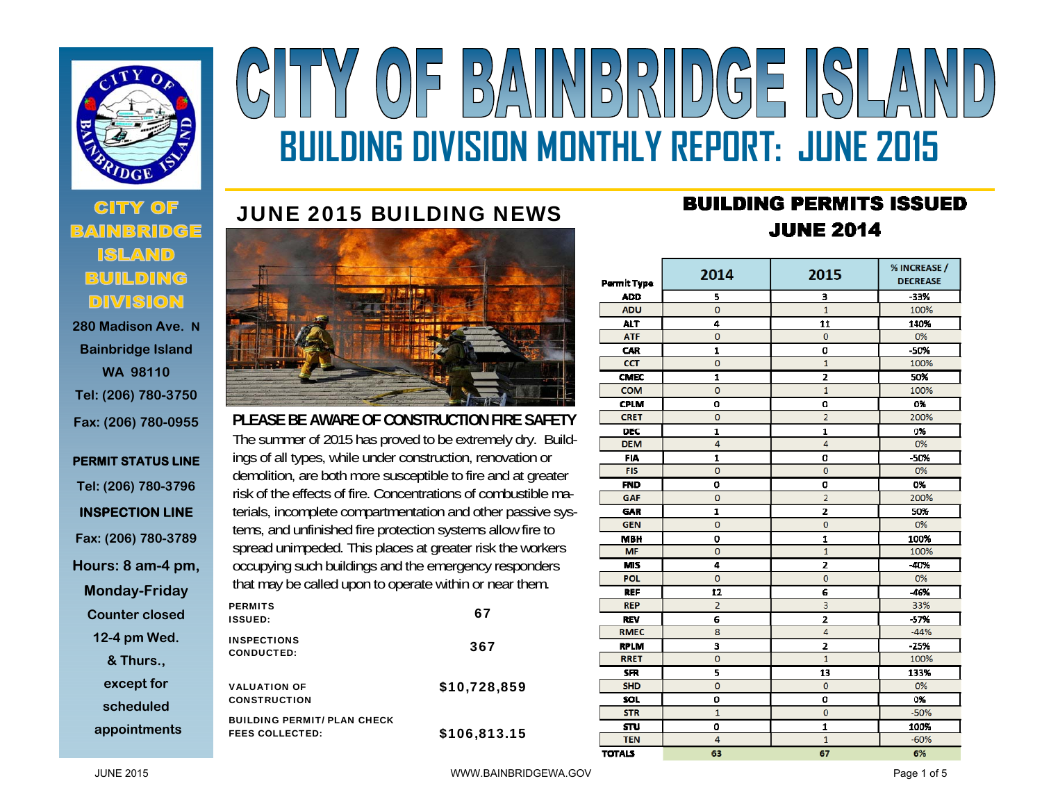

 **280 Madison Ave. NBainbridge Island WA 98110 Tel: (206) 780-3750 Fax: (206) 780-0955** 

#### **PERMIT STATUS LINE Tel: (206) 780-3796 INSPECTION LINE Fax: (206) 780-3789 Hours: 8 am-4 pm, Monday-Friday Counter closed 12-4 pm Wed. & Thurs., except for scheduled appointments**

# Y OF BAINBRIDGE ISLA **BUILDING DIVISION MONTHLY REPORT: JUNE 2015**

### JUNE 2015 BUILDING NEWS



**PLEASE BE AWARE OF CONSTRUCTION FIRE SAFETY** The summer of 2015 has proved to be extremely dry. Buildings of all types, while under construction, renovation or demolition, are both more susceptible to fire and at greater risk of the effects of fire. Concentrations of combustible materials, incomplete compartmentation and other passive systems, and unfinished fire protection systems allow fire to spread unimpeded. This places at greater risk the workers occupying such buildings and the emergency responders that may be called upon to operate within or near them.

| <b>PERMITS</b><br><b>ISSUED:</b>                             | 67           |
|--------------------------------------------------------------|--------------|
| <b>INSPECTIONS</b><br><b>CONDUCTED:</b>                      | 367          |
| <b>VALUATION OF</b><br><b>CONSTRUCTION</b>                   | \$10,728,859 |
| <b>BUILDING PERMIT/ PLAN CHECK</b><br><b>FEES COLLECTED:</b> | \$106,813.15 |

## **BUILDING PERMITS ISSUED JUNE 2014**

| Permit Type   | 2014           | 2015           | % INCREASE /<br><b>DECREASE</b> |
|---------------|----------------|----------------|---------------------------------|
| <b>ADD</b>    | 5              | з              | -33%                            |
| <b>ADU</b>    | $\overline{0}$ | $\mathbf{1}$   | 100%                            |
| <b>ALT</b>    | 4              | 11             | 140%                            |
| <b>ATF</b>    | 0              | Ō              | 0%                              |
| <b>CAR</b>    | $\mathbf{1}$   | 0              | -50%                            |
| <b>CCT</b>    | $\overline{0}$ | $\overline{1}$ | 100%                            |
| <b>CMEC</b>   | $\mathbf{1}$   | 2              | 50%                             |
| COM           | $\mathbf 0$    | $\mathbf{1}$   | 100%                            |
| <b>CPLM</b>   | $\mathbf 0$    | O              | 0%                              |
| <b>CRET</b>   | 0              | $\overline{2}$ | 200%                            |
| <b>DEC</b>    | 1              | 1              | 0%                              |
| <b>DEM</b>    | $\overline{a}$ | $\overline{a}$ | 0%                              |
| <b>FIA</b>    | 1              | 0              | $-50%$                          |
| <b>FIS</b>    | 0              | Ō              | 0%                              |
| <b>FND</b>    | ٥              | O              | 0%                              |
| <b>GAF</b>    | 0              | $\overline{2}$ | 200%                            |
| <b>GAR</b>    | 1              | $\overline{2}$ | 50%                             |
| <b>GEN</b>    | $\overline{0}$ | $\overline{O}$ | 0%                              |
| <b>MBH</b>    | o              | 1              | 100%                            |
| MF            | $\overline{0}$ | $\mathbf{1}$   | 100%                            |
| <b>MIS</b>    | 4              | $\overline{z}$ | $-40%$                          |
| <b>POL</b>    | $\mathbf 0$    | $\overline{O}$ | 0%                              |
| <b>REF</b>    | 12             | 6              | $-46%$                          |
| <b>REP</b>    | $\overline{2}$ | 3              | 33%                             |
| <b>REV</b>    | 6              | $\overline{2}$ | $-57%$                          |
| <b>RMEC</b>   | 8              | 4              | $-44%$                          |
| <b>RPLM</b>   | 3              | $\overline{z}$ | $-25%$                          |
| <b>RRET</b>   | o              | $\mathbf{1}$   | 100%                            |
| <b>SFR</b>    | 5              | 13             | 133%                            |
| <b>SHD</b>    | 0              | O              | 0%                              |
| <b>SOL</b>    | ٥              | o              | 0%                              |
| <b>STR</b>    | $\mathbf{1}$   | o              | $-50%$                          |
| STU           | 0              | 1              | 100%                            |
| <b>TEN</b>    | 4              | $\mathbf{1}$   | $-60%$                          |
| <b>TOTALS</b> | 63             | 67             | 6%                              |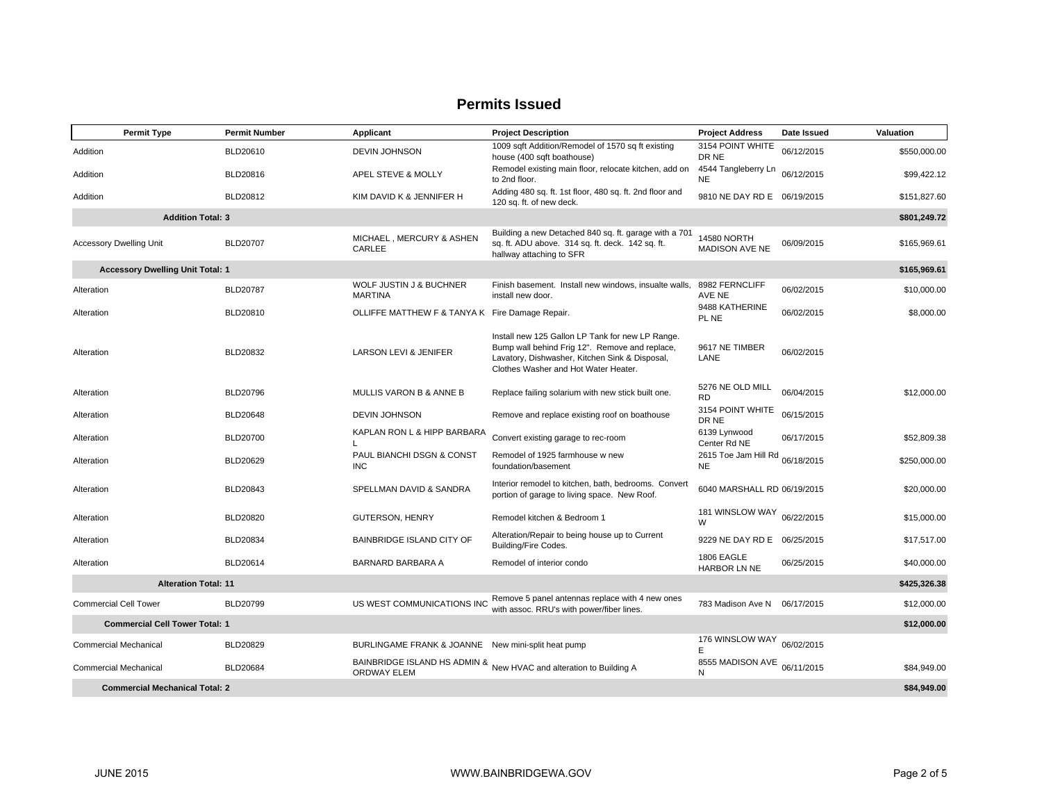#### **Permits Issued**

| <b>Permit Type</b>                      | <b>Permit Number</b> | Applicant                                          | <b>Project Description</b>                                                                                                                                                                   | <b>Project Address</b>                       | Date Issued | <b>Valuation</b> |
|-----------------------------------------|----------------------|----------------------------------------------------|----------------------------------------------------------------------------------------------------------------------------------------------------------------------------------------------|----------------------------------------------|-------------|------------------|
| Addition                                | BLD20610             | <b>DEVIN JOHNSON</b>                               | 1009 sqft Addition/Remodel of 1570 sq ft existing<br>house (400 sqft boathouse)                                                                                                              | 3154 POINT WHITE<br>DR NE                    | 06/12/2015  | \$550,000.00     |
| Addition                                | BLD20816             | APEL STEVE & MOLLY                                 | Remodel existing main floor, relocate kitchen, add on<br>to 2nd floor.                                                                                                                       | 4544 Tangleberry Ln<br><b>NE</b>             | 06/12/2015  | \$99,422.12      |
| Addition                                | BLD20812             | KIM DAVID K & JENNIFER H                           | Adding 480 sq. ft. 1st floor, 480 sq. ft. 2nd floor and<br>120 sq. ft. of new deck.                                                                                                          | 9810 NE DAY RD E 06/19/2015                  |             | \$151,827.60     |
| <b>Addition Total: 3</b>                |                      |                                                    |                                                                                                                                                                                              |                                              |             | \$801,249.72     |
| <b>Accessory Dwelling Unit</b>          | <b>BLD20707</b>      | MICHAEL, MERCURY & ASHEN<br>CARLEE                 | Building a new Detached 840 sq. ft. garage with a 701<br>sq. ft. ADU above. 314 sq. ft. deck. 142 sq. ft.<br>hallway attaching to SFR                                                        | 14580 NORTH<br><b>MADISON AVE NE</b>         | 06/09/2015  | \$165,969.61     |
| <b>Accessory Dwelling Unit Total: 1</b> |                      |                                                    |                                                                                                                                                                                              |                                              |             | \$165,969.61     |
| Alteration                              | <b>BLD20787</b>      | WOLF JUSTIN J & BUCHNER<br><b>MARTINA</b>          | Finish basement. Install new windows, insualte walls,<br>install new door.                                                                                                                   | 8982 FERNCLIFF<br><b>AVE NE</b>              | 06/02/2015  | \$10,000.00      |
| Alteration                              | BLD20810             | OLLIFFE MATTHEW F & TANYA K Fire Damage Repair.    |                                                                                                                                                                                              | 9488 KATHERINE<br>PL NE                      | 06/02/2015  | \$8,000.00       |
| Alteration                              | BLD20832             | LARSON LEVI & JENIFER                              | Install new 125 Gallon LP Tank for new LP Range.<br>Bump wall behind Frig 12". Remove and replace,<br>Lavatory, Dishwasher, Kitchen Sink & Disposal,<br>Clothes Washer and Hot Water Heater. | 9617 NE TIMBER<br>LANE                       | 06/02/2015  |                  |
| Alteration                              | BLD20796             | <b>MULLIS VARON B &amp; ANNE B</b>                 | Replace failing solarium with new stick built one.                                                                                                                                           | 5276 NE OLD MILL<br><b>RD</b>                | 06/04/2015  | \$12,000.00      |
| Alteration                              | BLD20648             | <b>DEVIN JOHNSON</b>                               | Remove and replace existing roof on boathouse                                                                                                                                                | 3154 POINT WHITE<br>DR NE                    | 06/15/2015  |                  |
| Alteration                              | BLD20700             | KAPLAN RON L & HIPP BARBARA                        | Convert existing garage to rec-room                                                                                                                                                          | 6139 Lynwood<br>Center Rd NE                 | 06/17/2015  | \$52,809.38      |
| Alteration                              | BLD20629             | PAUL BIANCHI DSGN & CONST<br><b>INC</b>            | Remodel of 1925 farmhouse w new<br>foundation/basement                                                                                                                                       | 2615 Toe Jam Hill Rd 06/18/2015<br><b>NE</b> |             | \$250,000.00     |
| Alteration                              | BLD20843             | SPELLMAN DAVID & SANDRA                            | Interior remodel to kitchen, bath, bedrooms. Convert<br>portion of garage to living space. New Roof.                                                                                         | 6040 MARSHALL RD 06/19/2015                  |             | \$20,000.00      |
| Alteration                              | BLD20820             | <b>GUTERSON, HENRY</b>                             | Remodel kitchen & Bedroom 1                                                                                                                                                                  | 181 WINSLOW WAY<br>W                         | 06/22/2015  | \$15,000.00      |
| Alteration                              | <b>BLD20834</b>      | <b>BAINBRIDGE ISLAND CITY OF</b>                   | Alteration/Repair to being house up to Current<br>Building/Fire Codes.                                                                                                                       | 9229 NE DAY RD E 06/25/2015                  |             | \$17.517.00      |
| Alteration                              | BLD20614             | BARNARD BARBARA A                                  | Remodel of interior condo                                                                                                                                                                    | 1806 EAGLE<br><b>HARBOR LN NE</b>            | 06/25/2015  | \$40,000.00      |
| <b>Alteration Total: 11</b>             |                      |                                                    |                                                                                                                                                                                              |                                              |             | \$425,326.38     |
| <b>Commercial Cell Tower</b>            | BLD20799             | US WEST COMMUNICATIONS INC                         | Remove 5 panel antennas replace with 4 new ones<br>with assoc. RRU's with power/fiber lines.                                                                                                 | 783 Madison Ave N 06/17/2015                 |             | \$12,000.00      |
| <b>Commercial Cell Tower Total: 1</b>   |                      |                                                    |                                                                                                                                                                                              |                                              |             | \$12,000.00      |
| <b>Commercial Mechanical</b>            | BLD20829             | BURLINGAME FRANK & JOANNE New mini-split heat pump |                                                                                                                                                                                              | 176 WINSLOW WAY<br>E                         | 06/02/2015  |                  |
| <b>Commercial Mechanical</b>            | <b>BLD20684</b>      | <b>ORDWAY ELEM</b>                                 | BAINBRIDGE ISLAND HS ADMIN & New HVAC and alteration to Building A                                                                                                                           | 8555 MADISON AVE<br>N                        | 06/11/2015  | \$84.949.00      |
| <b>Commercial Mechanical Total: 2</b>   |                      |                                                    |                                                                                                                                                                                              |                                              |             | \$84,949.00      |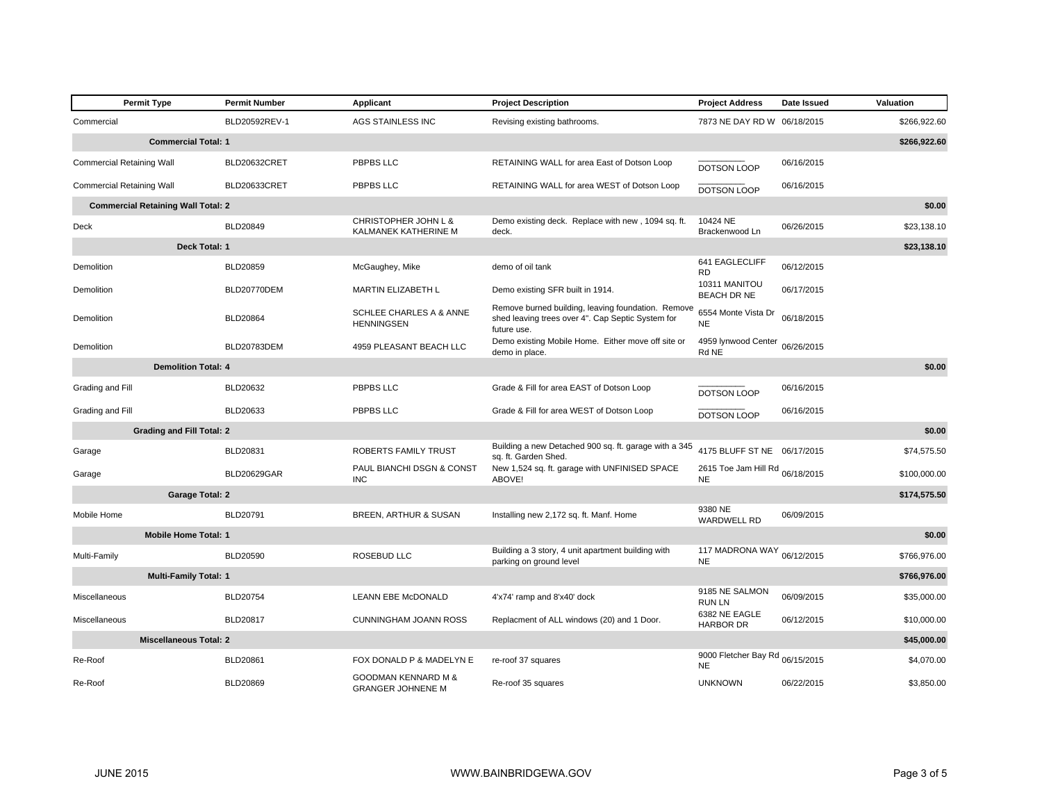| <b>Permit Type</b>                        | <b>Permit Number</b> | Applicant                                               | <b>Project Description</b>                                                                                             | <b>Project Address</b>                       | Date Issued | Valuation    |
|-------------------------------------------|----------------------|---------------------------------------------------------|------------------------------------------------------------------------------------------------------------------------|----------------------------------------------|-------------|--------------|
| Commercial                                | BLD20592REV-1        | AGS STAINLESS INC                                       | Revising existing bathrooms.                                                                                           | 7873 NE DAY RD W 06/18/2015                  |             | \$266.922.60 |
| <b>Commercial Total: 1</b>                |                      |                                                         |                                                                                                                        |                                              |             | \$266,922.60 |
| <b>Commercial Retaining Wall</b>          | BLD20632CRET         | PBPBS LLC                                               | RETAINING WALL for area East of Dotson Loop                                                                            | DOTSON LOOP                                  | 06/16/2015  |              |
| <b>Commercial Retaining Wall</b>          | BLD20633CRET         | PBPBS LLC                                               | RETAINING WALL for area WEST of Dotson Loop                                                                            | DOTSON LOOP                                  | 06/16/2015  |              |
| <b>Commercial Retaining Wall Total: 2</b> |                      |                                                         |                                                                                                                        |                                              |             | \$0.00       |
| Deck                                      | BLD20849             | CHRISTOPHER JOHN L &<br>KALMANEK KATHERINE M            | Demo existing deck. Replace with new, 1094 sq. ft.<br>deck.                                                            | 10424 NE<br>Brackenwood Ln                   | 06/26/2015  | \$23.138.10  |
|                                           | Deck Total: 1        |                                                         |                                                                                                                        |                                              |             | \$23,138.10  |
| Demolition                                | BLD20859             | McGaughey, Mike                                         | demo of oil tank                                                                                                       | 641 EAGLECLIFF<br><b>RD</b>                  | 06/12/2015  |              |
| Demolition                                | BLD20770DEM          | <b>MARTIN ELIZABETH L</b>                               | Demo existing SFR built in 1914.                                                                                       | 10311 MANITOU<br><b>BEACH DR NE</b>          | 06/17/2015  |              |
| Demolition                                | BLD20864             | <b>SCHLEE CHARLES A &amp; ANNE</b><br><b>HENNINGSEN</b> | Remove burned building, leaving foundation. Remove<br>shed leaving trees over 4". Cap Septic System for<br>future use. | 6554 Monte Vista Dr<br><b>NE</b>             | 06/18/2015  |              |
| Demolition                                | BLD20783DEM          | 4959 PLEASANT BEACH LLC                                 | Demo existing Mobile Home. Either move off site or<br>demo in place.                                                   | 4959 lynwood Center<br>Rd NE                 | 06/26/2015  |              |
| <b>Demolition Total: 4</b>                |                      |                                                         |                                                                                                                        |                                              |             | \$0.00       |
| Grading and Fill                          | BLD20632             | PBPBS LLC                                               | Grade & Fill for area EAST of Dotson Loop                                                                              | DOTSON LOOP                                  | 06/16/2015  |              |
| Grading and Fill                          | BLD20633             | PBPBS LLC                                               | Grade & Fill for area WEST of Dotson Loop                                                                              | DOTSON LOOP                                  | 06/16/2015  |              |
| <b>Grading and Fill Total: 2</b>          |                      |                                                         |                                                                                                                        |                                              |             | \$0.00       |
| Garage                                    | BLD20831             | ROBERTS FAMILY TRUST                                    | Building a new Detached 900 sq. ft. garage with a 345<br>sq. ft. Garden Shed.                                          | 4175 BLUFF ST NE 06/17/2015                  |             | \$74,575.50  |
| Garage                                    | <b>BLD20629GAR</b>   | PAUL BIANCHI DSGN & CONST<br><b>INC</b>                 | New 1,524 sq. ft. garage with UNFINISED SPACE<br>ABOVE!                                                                | 2615 Toe Jam Hill Rd 06/18/2015<br><b>NE</b> |             | \$100,000.00 |
| <b>Garage Total: 2</b>                    |                      |                                                         |                                                                                                                        |                                              |             | \$174,575.50 |
| Mobile Home                               | BLD20791             | BREEN, ARTHUR & SUSAN                                   | Installing new 2,172 sq. ft. Manf. Home                                                                                | 9380 NE<br><b>WARDWELL RD</b>                | 06/09/2015  |              |
| <b>Mobile Home Total: 1</b>               |                      |                                                         |                                                                                                                        |                                              |             | \$0.00       |
| Multi-Family                              | BLD20590             | ROSEBUD LLC                                             | Building a 3 story, 4 unit apartment building with<br>parking on ground level                                          | 117 MADRONA WAY<br><b>NE</b>                 | 06/12/2015  | \$766,976.00 |
| <b>Multi-Family Total: 1</b>              |                      |                                                         |                                                                                                                        |                                              |             | \$766,976.00 |
| Miscellaneous                             | BLD20754             | LEANN EBE McDONALD                                      | 4'x74' ramp and 8'x40' dock                                                                                            | 9185 NE SALMON<br><b>RUNLN</b>               | 06/09/2015  | \$35,000.00  |
| Miscellaneous                             | BLD20817             | CUNNINGHAM JOANN ROSS                                   | Replacment of ALL windows (20) and 1 Door.                                                                             | 6382 NE EAGLE<br><b>HARBOR DR</b>            | 06/12/2015  | \$10,000.00  |
| <b>Miscellaneous Total: 2</b>             |                      |                                                         |                                                                                                                        |                                              |             | \$45,000.00  |
| Re-Roof                                   | BLD20861             | FOX DONALD P & MADELYN E                                | re-roof 37 squares                                                                                                     | 9000 Fletcher Bay Rd 06/15/2015<br><b>NE</b> |             | \$4,070.00   |
| Re-Roof                                   | BLD20869             | GOODMAN KENNARD M &<br><b>GRANGER JOHNENE M</b>         | Re-roof 35 squares                                                                                                     | <b>UNKNOWN</b>                               | 06/22/2015  | \$3,850.00   |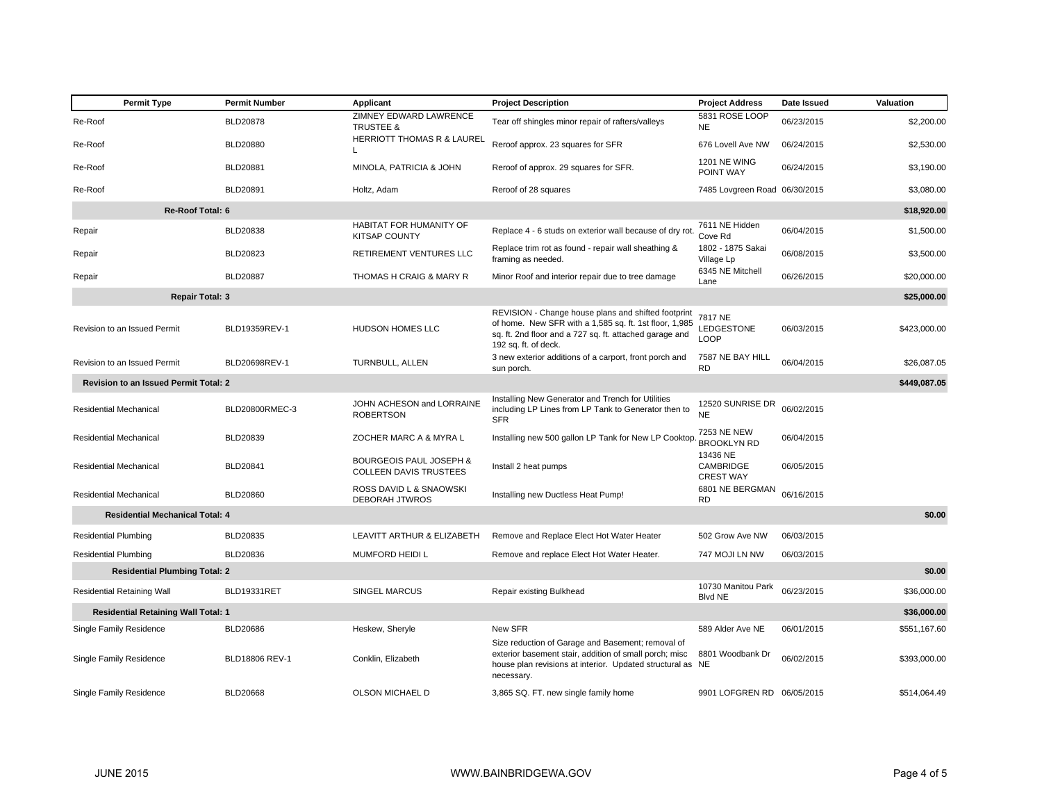| <b>Permit Type</b>                           | <b>Permit Number</b> | Applicant                                                    | <b>Project Description</b>                                                                                                                                                                       | <b>Project Address</b>                    | Date Issued | Valuation    |
|----------------------------------------------|----------------------|--------------------------------------------------------------|--------------------------------------------------------------------------------------------------------------------------------------------------------------------------------------------------|-------------------------------------------|-------------|--------------|
| Re-Roof                                      | <b>BLD20878</b>      | ZIMNEY EDWARD LAWRENCE<br><b>TRUSTEE &amp;</b>               | Tear off shingles minor repair of rafters/valleys                                                                                                                                                | 5831 ROSE LOOP<br><b>NE</b>               | 06/23/2015  | \$2,200.00   |
| Re-Roof                                      | <b>BLD20880</b>      | HERRIOTT THOMAS R & LAUREL<br>L                              | Reroof approx. 23 squares for SFR                                                                                                                                                                | 676 Lovell Ave NW                         | 06/24/2015  | \$2,530.00   |
| Re-Roof                                      | BLD20881             | MINOLA, PATRICIA & JOHN                                      | Reroof of approx. 29 squares for SFR.                                                                                                                                                            | <b>1201 NE WING</b><br>POINT WAY          | 06/24/2015  | \$3,190.00   |
| Re-Roof                                      | <b>BLD20891</b>      | Holtz, Adam                                                  | Reroof of 28 squares                                                                                                                                                                             | 7485 Lovgreen Road 06/30/2015             |             | \$3,080.00   |
| <b>Re-Roof Total: 6</b>                      |                      |                                                              |                                                                                                                                                                                                  |                                           |             | \$18,920.00  |
| Repair                                       | BLD20838             | HABITAT FOR HUMANITY OF<br><b>KITSAP COUNTY</b>              | Replace 4 - 6 studs on exterior wall because of dry rot                                                                                                                                          | 7611 NE Hidden<br>Cove Rd                 | 06/04/2015  | \$1,500.00   |
| Repair                                       | BLD20823             | RETIREMENT VENTURES LLC                                      | Replace trim rot as found - repair wall sheathing &<br>framing as needed.                                                                                                                        | 1802 - 1875 Sakai<br>Village Lp           | 06/08/2015  | \$3,500.00   |
| Repair                                       | <b>BLD20887</b>      | THOMAS H CRAIG & MARY R                                      | Minor Roof and interior repair due to tree damage                                                                                                                                                | 6345 NE Mitchell<br>Lane                  | 06/26/2015  | \$20,000.00  |
| <b>Repair Total: 3</b>                       |                      |                                                              |                                                                                                                                                                                                  |                                           |             | \$25,000.00  |
| Revision to an Issued Permit                 | BLD19359REV-1        | HUDSON HOMES LLC                                             | REVISION - Change house plans and shifted footprint<br>of home. New SFR with a 1,585 sq. ft. 1st floor, 1,985<br>sq. ft. 2nd floor and a 727 sq. ft. attached garage and<br>192 sq. ft. of deck. | 7817 NE<br>LEDGESTONE<br>LOOP             | 06/03/2015  | \$423,000.00 |
| Revision to an Issued Permit                 | BLD20698REV-1        | TURNBULL, ALLEN                                              | 3 new exterior additions of a carport, front porch and<br>sun porch.                                                                                                                             | 7587 NE BAY HILL<br><b>RD</b>             | 06/04/2015  | \$26,087.05  |
| <b>Revision to an Issued Permit Total: 2</b> |                      |                                                              |                                                                                                                                                                                                  |                                           |             | \$449,087.05 |
| <b>Residential Mechanical</b>                | BLD20800RMEC-3       | JOHN ACHESON and LORRAINE<br><b>ROBERTSON</b>                | Installing New Generator and Trench for Utilities<br>including LP Lines from LP Tank to Generator then to<br><b>SFR</b>                                                                          | 12520 SUNRISE DR<br>NE                    | 06/02/2015  |              |
| <b>Residential Mechanical</b>                | <b>BLD20839</b>      | ZOCHER MARC A & MYRA L                                       | Installing new 500 gallon LP Tank for New LP Cooktop                                                                                                                                             | 7253 NE NEW<br><b>BROOKLYN RD</b>         | 06/04/2015  |              |
| <b>Residential Mechanical</b>                | BLD20841             | <b>BOURGEOIS PAUL JOSEPH &amp;</b><br>COLLEEN DAVIS TRUSTEES | Install 2 heat pumps                                                                                                                                                                             | 13436 NE<br>CAMBRIDGE<br><b>CREST WAY</b> | 06/05/2015  |              |
| <b>Residential Mechanical</b>                | <b>BLD20860</b>      | ROSS DAVID L & SNAOWSKI<br><b>DEBORAH JTWROS</b>             | Installing new Ductless Heat Pump!                                                                                                                                                               | 6801 NE BERGMAN<br><b>RD</b>              | 06/16/2015  |              |
| <b>Residential Mechanical Total: 4</b>       |                      |                                                              |                                                                                                                                                                                                  |                                           |             | \$0.00       |
| <b>Residential Plumbing</b>                  | BLD20835             | LEAVITT ARTHUR & ELIZABETH                                   | Remove and Replace Elect Hot Water Heater                                                                                                                                                        | 502 Grow Ave NW                           | 06/03/2015  |              |
| <b>Residential Plumbing</b>                  | BLD20836             | MUMFORD HEIDI L                                              | Remove and replace Elect Hot Water Heater.                                                                                                                                                       | 747 MOJI LN NW                            | 06/03/2015  |              |
| <b>Residential Plumbing Total: 2</b>         |                      |                                                              |                                                                                                                                                                                                  |                                           |             | \$0.00       |
| <b>Residential Retaining Wall</b>            | BLD19331RET          | <b>SINGEL MARCUS</b>                                         | Repair existing Bulkhead                                                                                                                                                                         | 10730 Manitou Park<br><b>Blvd NE</b>      | 06/23/2015  | \$36,000.00  |
| <b>Residential Retaining Wall Total: 1</b>   |                      |                                                              |                                                                                                                                                                                                  |                                           |             | \$36,000.00  |
| Single Family Residence                      | <b>BLD20686</b>      | Heskew, Sheryle                                              | New SFR                                                                                                                                                                                          | 589 Alder Ave NE                          | 06/01/2015  | \$551,167.60 |
| Single Family Residence                      | BLD18806 REV-1       | Conklin, Elizabeth                                           | Size reduction of Garage and Basement; removal of<br>exterior basement stair, addition of small porch; misc<br>house plan revisions at interior. Updated structural as NE<br>necessary.          | 8801 Woodbank Dr                          | 06/02/2015  | \$393,000.00 |
| Single Family Residence                      | <b>BLD20668</b>      | <b>OLSON MICHAEL D</b>                                       | 3,865 SQ. FT. new single family home                                                                                                                                                             | 9901 LOFGREN RD 06/05/2015                |             | \$514,064.49 |